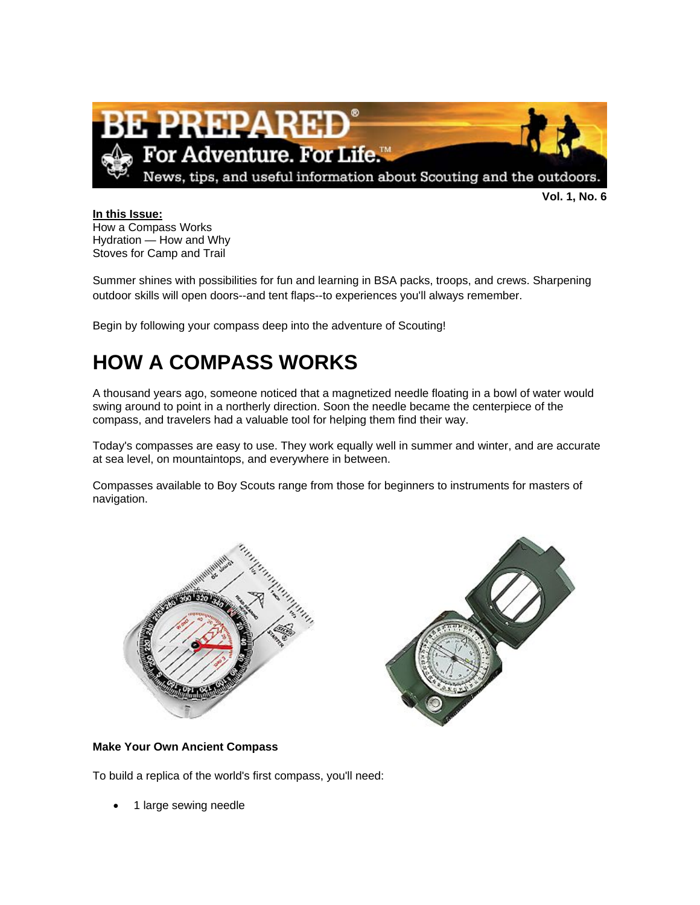

**Vol. 1, No. 6**

#### **In this Issue:** How a Compass Works Hydration — How and Why Stoves for Camp and Trail

Summer shines with possibilities for fun and learning in BSA packs, troops, and crews. Sharpening outdoor skills will open doors--and tent flaps--to experiences you'll always remember.

Begin by following your compass deep into the adventure of Scouting!

# **HOW A COMPASS WORKS**

A thousand years ago, someone noticed that a magnetized needle floating in a bowl of water would swing around to point in a northerly direction. Soon the needle became the centerpiece of the compass, and travelers had a valuable tool for helping them find their way.

Today's compasses are easy to use. They work equally well in summer and winter, and are accurate at sea level, on mountaintops, and everywhere in between.

Compasses available to Boy Scouts range from those for beginners to instruments for masters of navigation.



#### **Make Your Own Ancient Compass**

To build a replica of the world's first compass, you'll need:

• 1 large sewing needle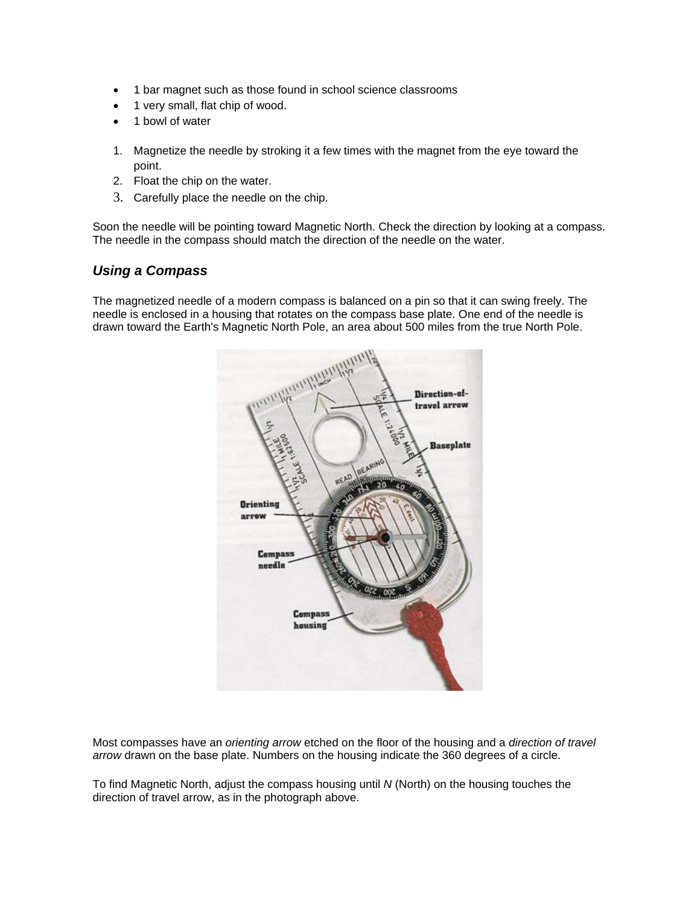- 1 bar magnet such as those found in school science classrooms
- 1 very small, flat chip of wood.
- 1 bowl of water
- 1. Magnetize the needle by stroking it a few times with the magnet from the eye toward the point.
- 2. Float the chip on the water.
- 3. Carefully place the needle on the chip.

Soon the needle will be pointing toward Magnetic North. Check the direction by looking at a compass. The needle in the compass should match the direction of the needle on the water.

#### *Using a Compass*

The magnetized needle of a modern compass is balanced on a pin so that it can swing freely. The needle is enclosed in a housing that rotates on the compass base plate. One end of the needle is drawn toward the Earth's Magnetic North Pole, an area about 500 miles from the true North Pole.



Most compasses have an *orienting arrow* etched on the floor of the housing and a *direction of travel arrow* drawn on the base plate. Numbers on the housing indicate the 360 degrees of a circle.

To find Magnetic North, adjust the compass housing until *N* (North) on the housing touches the direction of travel arrow, as in the photograph above.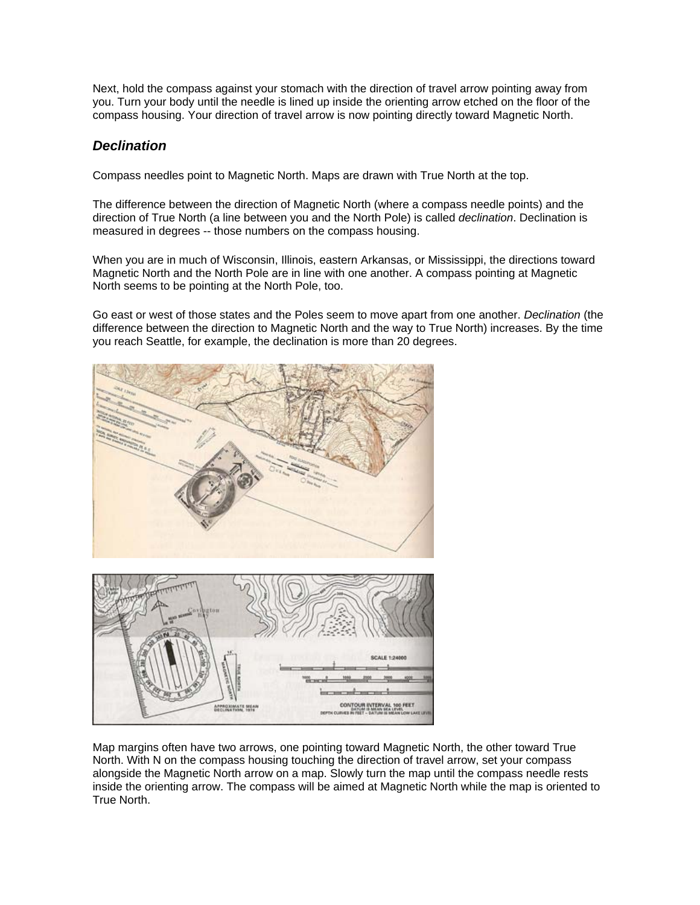Next, hold the compass against your stomach with the direction of travel arrow pointing away from you. Turn your body until the needle is lined up inside the orienting arrow etched on the floor of the compass housing. Your direction of travel arrow is now pointing directly toward Magnetic North.

### *Declination*

Compass needles point to Magnetic North. Maps are drawn with True North at the top.

The difference between the direction of Magnetic North (where a compass needle points) and the direction of True North (a line between you and the North Pole) is called *declination*. Declination is measured in degrees -- those numbers on the compass housing.

When you are in much of Wisconsin, Illinois, eastern Arkansas, or Mississippi, the directions toward Magnetic North and the North Pole are in line with one another. A compass pointing at Magnetic North seems to be pointing at the North Pole, too.

Go east or west of those states and the Poles seem to move apart from one another. *Declination* (the difference between the direction to Magnetic North and the way to True North) increases. By the time you reach Seattle, for example, the declination is more than 20 degrees.



APPROXIMATE MEAR

Map margins often have two arrows, one pointing toward Magnetic North, the other toward True North. With N on the compass housing touching the direction of travel arrow, set your compass alongside the Magnetic North arrow on a map. Slowly turn the map until the compass needle rests inside the orienting arrow. The compass will be aimed at Magnetic North while the map is oriented to True North.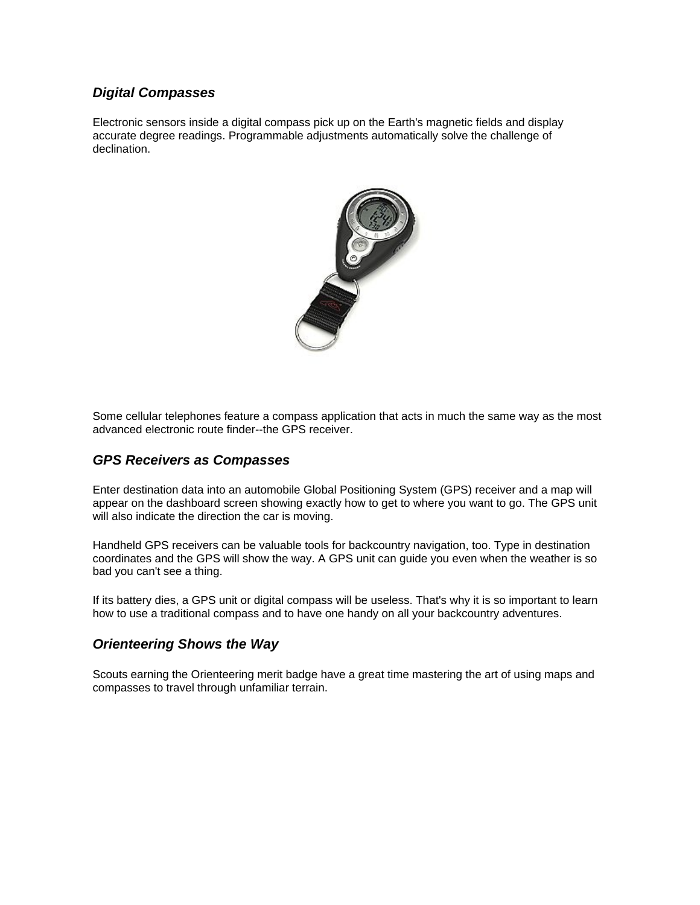### *Digital Compasses*

Electronic sensors inside a digital compass pick up on the Earth's magnetic fields and display accurate degree readings. Programmable adjustments automatically solve the challenge of declination.



Some cellular telephones feature a compass application that acts in much the same way as the most advanced electronic route finder--the GPS receiver.

#### *GPS Receivers as Compasses*

Enter destination data into an automobile Global Positioning System (GPS) receiver and a map will appear on the dashboard screen showing exactly how to get to where you want to go. The GPS unit will also indicate the direction the car is moving.

Handheld GPS receivers can be valuable tools for backcountry navigation, too. Type in destination coordinates and the GPS will show the way. A GPS unit can guide you even when the weather is so bad you can't see a thing.

If its battery dies, a GPS unit or digital compass will be useless. That's why it is so important to learn how to use a traditional compass and to have one handy on all your backcountry adventures.

#### *Orienteering Shows the Way*

Scouts earning the Orienteering merit badge have a great time mastering the art of using maps and compasses to travel through unfamiliar terrain.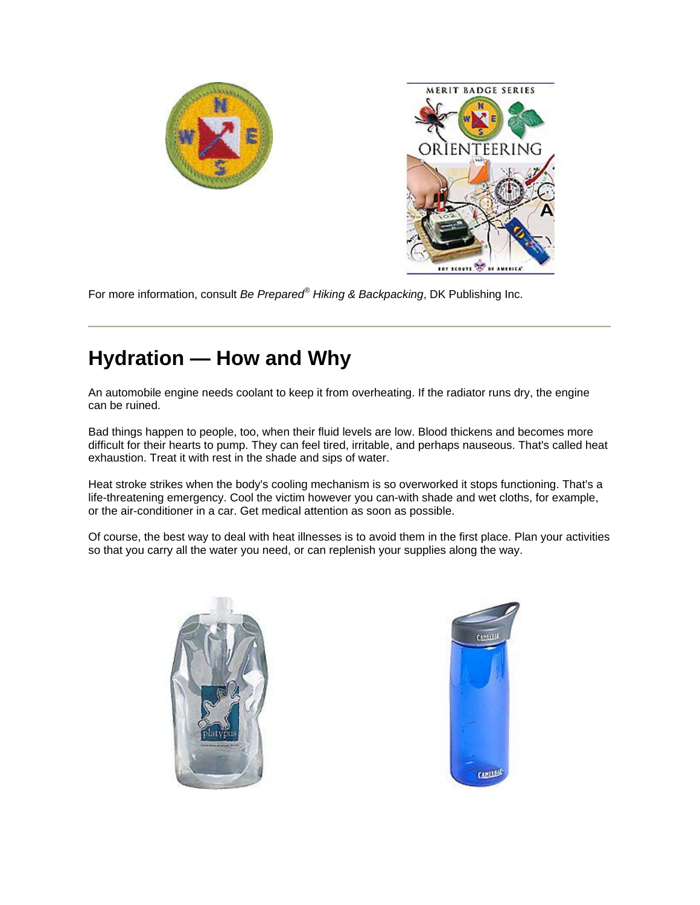



For more information, consult *Be Prepared® Hiking & Backpacking*, DK Publishing Inc.

# **Hydration — How and Why**

An automobile engine needs coolant to keep it from overheating. If the radiator runs dry, the engine can be ruined.

Bad things happen to people, too, when their fluid levels are low. Blood thickens and becomes more difficult for their hearts to pump. They can feel tired, irritable, and perhaps nauseous. That's called heat exhaustion. Treat it with rest in the shade and sips of water.

Heat stroke strikes when the body's cooling mechanism is so overworked it stops functioning. That's a life-threatening emergency. Cool the victim however you can-with shade and wet cloths, for example, or the air-conditioner in a car. Get medical attention as soon as possible.

Of course, the best way to deal with heat illnesses is to avoid them in the first place. Plan your activities so that you carry all the water you need, or can replenish your supplies along the way.



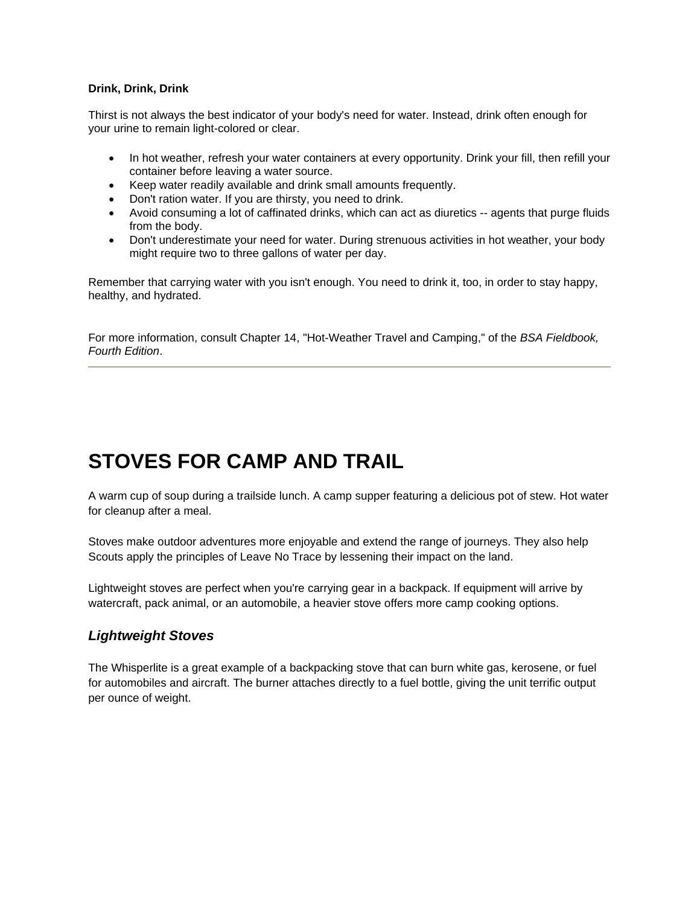#### **Drink, Drink, Drink**

Thirst is not always the best indicator of your body's need for water. Instead, drink often enough for your urine to remain light-colored or clear.

- In hot weather, refresh your water containers at every opportunity. Drink your fill, then refill your container before leaving a water source.
- Keep water readily available and drink small amounts frequently.
- Don't ration water. If you are thirsty, you need to drink.
- Avoid consuming a lot of caffinated drinks, which can act as diuretics -- agents that purge fluids from the body.
- Don't underestimate your need for water. During strenuous activities in hot weather, your body might require two to three gallons of water per day.

Remember that carrying water with you isn't enough. You need to drink it, too, in order to stay happy, healthy, and hydrated.

For more information, consult Chapter 14, "Hot-Weather Travel and Camping," of the *BSA Fieldbook, Fourth Edition*.

# **STOVES FOR CAMP AND TRAIL**

A warm cup of soup during a trailside lunch. A camp supper featuring a delicious pot of stew. Hot water for cleanup after a meal.

Stoves make outdoor adventures more enjoyable and extend the range of journeys. They also help Scouts apply the principles of Leave No Trace by lessening their impact on the land.

Lightweight stoves are perfect when you're carrying gear in a backpack. If equipment will arrive by watercraft, pack animal, or an automobile, a heavier stove offers more camp cooking options.

## *Lightweight Stoves*

The Whisperlite is a great example of a backpacking stove that can burn white gas, kerosene, or fuel for automobiles and aircraft. The burner attaches directly to a fuel bottle, giving the unit terrific output per ounce of weight.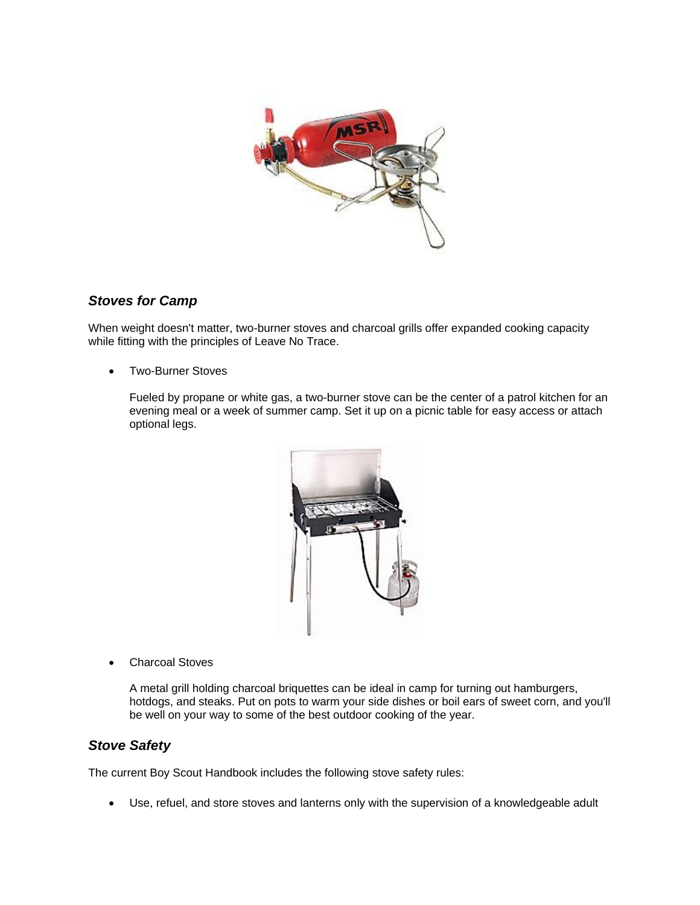

### *Stoves for Camp*

When weight doesn't matter, two-burner stoves and charcoal grills offer expanded cooking capacity while fitting with the principles of Leave No Trace.

• Two-Burner Stoves

Fueled by propane or white gas, a two-burner stove can be the center of a patrol kitchen for an evening meal or a week of summer camp. Set it up on a picnic table for easy access or attach optional legs.



• Charcoal Stoves

A metal grill holding charcoal briquettes can be ideal in camp for turning out hamburgers, hotdogs, and steaks. Put on pots to warm your side dishes or boil ears of sweet corn, and you'll be well on your way to some of the best outdoor cooking of the year.

#### *Stove Safety*

The current Boy Scout Handbook includes the following stove safety rules:

• Use, refuel, and store stoves and lanterns only with the supervision of a knowledgeable adult